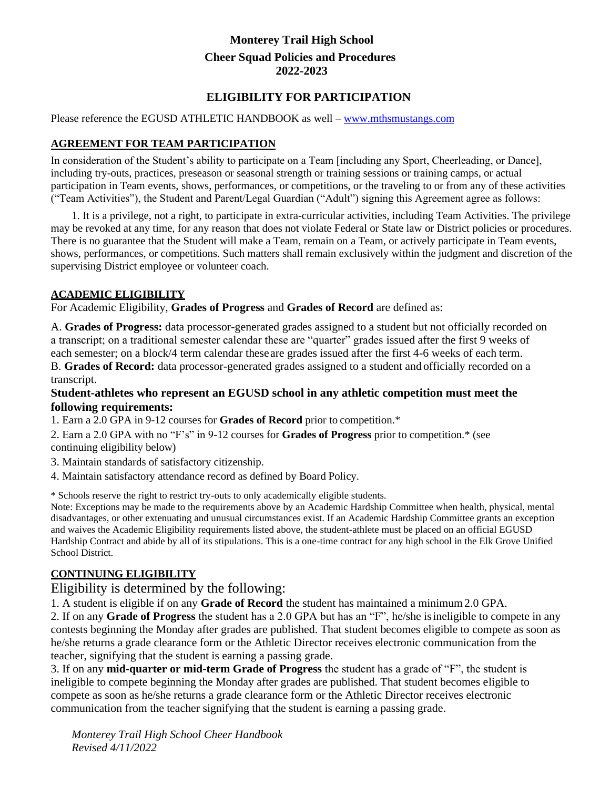# **Monterey Trail High School Cheer Squad Policies and Procedures 2022-2023**

# **ELIGIBILITY FOR PARTICIPATION**

#### Please reference the EGUSD ATHLETIC HANDBOOK as well – [www.mthsmustangs.com](http://www.mthsmustangs.com/)

## **AGREEMENT FOR TEAM PARTICIPATION**

In consideration of the Student's ability to participate on a Team [including any Sport, Cheerleading, or Dance], including try-outs, practices, preseason or seasonal strength or training sessions or training camps, or actual participation in Team events, shows, performances, or competitions, or the traveling to or from any of these activities ("Team Activities"), the Student and Parent/Legal Guardian ("Adult") signing this Agreement agree as follows:

1. It is a privilege, not a right, to participate in extra-curricular activities, including Team Activities. The privilege may be revoked at any time, for any reason that does not violate Federal or State law or District policies or procedures. There is no guarantee that the Student will make a Team, remain on a Team, or actively participate in Team events, shows, performances, or competitions. Such matters shall remain exclusively within the judgment and discretion of the supervising District employee or volunteer coach.

#### **ACADEMIC ELIGIBILITY**

For Academic Eligibility, **Grades of Progress** and **Grades of Record** are defined as:

A. **Grades of Progress:** data processor-generated grades assigned to a student but not officially recorded on a transcript; on a traditional semester calendar these are "quarter" grades issued after the first 9 weeks of each semester; on a block/4 term calendar theseare grades issued after the first 4-6 weeks of each term.

B. **Grades of Record:** data processor-generated grades assigned to a student and officially recorded on a transcript.

#### **Student-athletes who represent an EGUSD school in any athletic competition must meet the following requirements:**

1. Earn a 2.0 GPA in 9-12 courses for **Grades of Record** prior to competition.\*

2. Earn a 2.0 GPA with no "F's" in 9-12 courses for **Grades of Progress** prior to competition.\* (see continuing eligibility below)

- 3. Maintain standards of satisfactory citizenship.
- 4. Maintain satisfactory attendance record as defined by Board Policy.

\* Schools reserve the right to restrict try-outs to only academically eligible students.

Note: Exceptions may be made to the requirements above by an Academic Hardship Committee when health, physical, mental disadvantages, or other extenuating and unusual circumstances exist. If an Academic Hardship Committee grants an exception and waives the Academic Eligibility requirements listed above, the student-athlete must be placed on an official EGUSD Hardship Contract and abide by all of its stipulations. This is a one-time contract for any high school in the Elk Grove Unified School District.

## **CONTINUING ELIGIBILITY**

Eligibility is determined by the following:

1. A student is eligible if on any **Grade of Record** the student has maintained a minimum2.0 GPA.

2. If on any **Grade of Progress** the student has a 2.0 GPA but has an "F", he/she isineligible to compete in any contests beginning the Monday after grades are published. That student becomes eligible to compete as soon as he/she returns a grade clearance form or the Athletic Director receives electronic communication from the teacher, signifying that the student is earning a passing grade.

3. If on any **mid-quarter or mid-term Grade of Progress** the student has a grade of "F", the student is ineligible to compete beginning the Monday after grades are published. That student becomes eligible to compete as soon as he/she returns a grade clearance form or the Athletic Director receives electronic communication from the teacher signifying that the student is earning a passing grade.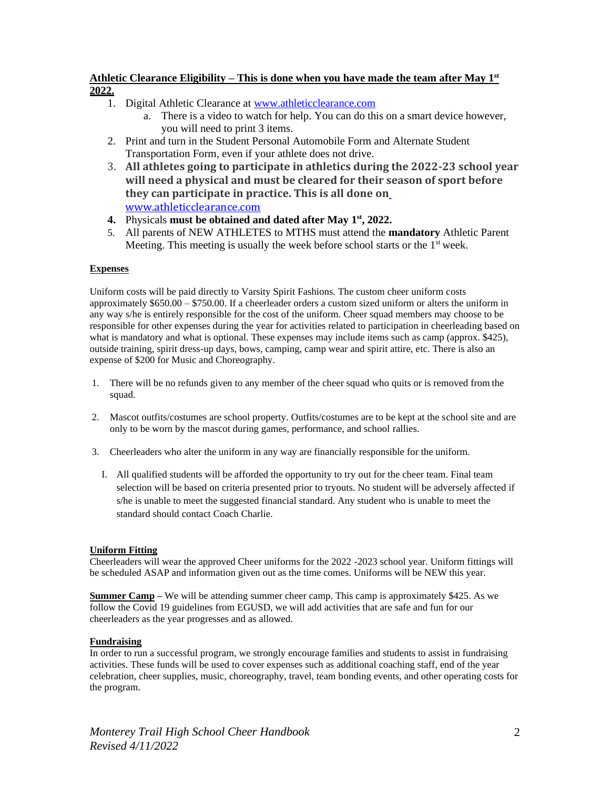#### **Athletic Clearance Eligibility – This is done when you have made the team after May 1st 2022.**

- 1. Digital Athletic Clearance at [www.athleticclearance.com](http://www.athleticclearance.com/)
	- a. There is a video to watch for help. You can do this on a smart device however, you will need to print 3 items.
- 2. Print and turn in the Student Personal Automobile Form and Alternate Student Transportation Form, even if your athlete does not drive.
- 3. **All athletes going to participate in athletics during the 2022-23 school year will need a physical and must be cleared for their season of sport before they can participate in practice. This is all done on** [www.athleticclearance.com](http://www.athleticclearance.com/)
- **4.** Physicals **must be obtained and dated after May 1st , 2022.**
- 5. All parents of NEW ATHLETES to MTHS must attend the **mandatory** Athletic Parent Meeting. This meeting is usually the week before school starts or the  $1<sup>st</sup>$  week.

#### **Expenses**

Uniform costs will be paid directly to Varsity Spirit Fashions. The custom cheer uniform costs approximately \$650.00 – \$750.00. If a cheerleader orders a custom sized uniform or alters the uniform in any way s/he is entirely responsible for the cost of the uniform. Cheer squad members may choose to be responsible for other expenses during the year for activities related to participation in cheerleading based on what is mandatory and what is optional. These expenses may include items such as camp (approx. \$425), outside training, spirit dress-up days, bows, camping, camp wear and spirit attire, etc. There is also an expense of \$200 for Music and Choreography.

- 1. There will be no refunds given to any member of the cheer squad who quits or is removed from the squad.
- 2. Mascot outfits/costumes are school property. Outfits/costumes are to be kept at the school site and are only to be worn by the mascot during games, performance, and school rallies.
- 3. Cheerleaders who alter the uniform in any way are financially responsible for the uniform.
	- I. All qualified students will be afforded the opportunity to try out for the cheer team. Final team selection will be based on criteria presented prior to tryouts. No student will be adversely affected if s/he is unable to meet the suggested financial standard. Any student who is unable to meet the standard should contact Coach Charlie.

#### **Uniform Fitting**

Cheerleaders will wear the approved Cheer uniforms for the 2022 -2023 school year. Uniform fittings will be scheduled ASAP and information given out as the time comes. Uniforms will be NEW this year.

**Summer Camp** – We will be attending summer cheer camp. This camp is approximately \$425. As we follow the Covid 19 guidelines from EGUSD, we will add activities that are safe and fun for our cheerleaders as the year progresses and as allowed.

#### **Fundraising**

In order to run a successful program, we strongly encourage families and students to assist in fundraising activities. These funds will be used to cover expenses such as additional coaching staff, end of the year celebration, cheer supplies, music, choreography, travel, team bonding events, and other operating costs for the program.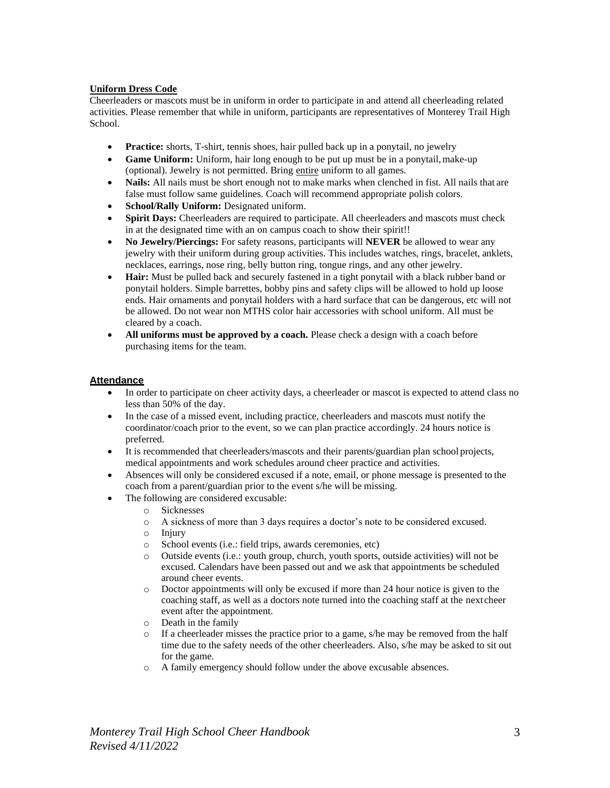#### **Uniform Dress Code**

Cheerleaders or mascots must be in uniform in order to participate in and attend all cheerleading related activities. Please remember that while in uniform, participants are representatives of Monterey Trail High School.

- **Practice:** shorts, T-shirt, tennis shoes, hair pulled back up in a ponytail, no jewelry
- **Game Uniform:** Uniform, hair long enough to be put up must be in a ponytail,make-up (optional). Jewelry is not permitted. Bring entire uniform to all games.
- **Nails:** All nails must be short enough not to make marks when clenched in fist. All nails that are false must follow same guidelines. Coach will recommend appropriate polish colors.
- **School/Rally Uniform:** Designated uniform.
- **Spirit Days:** Cheerleaders are required to participate. All cheerleaders and mascots must check in at the designated time with an on campus coach to show their spirit!!
- **No Jewelry/Piercings:** For safety reasons, participants will **NEVER** be allowed to wear any jewelry with their uniform during group activities. This includes watches, rings, bracelet, anklets, necklaces, earrings, nose ring, belly button ring, tongue rings, and any other jewelry.
- **Hair:** Must be pulled back and securely fastened in a tight ponytail with a black rubber band or ponytail holders. Simple barrettes, bobby pins and safety clips will be allowed to hold up loose ends. Hair ornaments and ponytail holders with a hard surface that can be dangerous, etc will not be allowed. Do not wear non MTHS color hair accessories with school uniform. All must be cleared by a coach.
- All uniforms must be approved by a coach. Please check a design with a coach before purchasing items for the team.

#### **Attendance**

- In order to participate on cheer activity days, a cheerleader or mascot is expected to attend class no less than 50% of the day.
- In the case of a missed event, including practice, cheerleaders and mascots must notify the coordinator/coach prior to the event, so we can plan practice accordingly. 24 hours notice is preferred.
- It is recommended that cheerleaders/mascots and their parents/guardian plan school projects, medical appointments and work schedules around cheer practice and activities.
- Absences will only be considered excused if a note, email, or phone message is presented to the coach from a parent/guardian prior to the event s/he will be missing.
- The following are considered excusable:
	- o Sicknesses
	- o A sickness of more than 3 days requires a doctor's note to be considered excused.
	- o Injury
	- o School events (i.e.: field trips, awards ceremonies, etc)
	- o Outside events (i.e.: youth group, church, youth sports, outside activities) will not be excused. Calendars have been passed out and we ask that appointments be scheduled around cheer events.
	- o Doctor appointments will only be excused if more than 24 hour notice is given to the coaching staff, as well as a doctors note turned into the coaching staff at the nextcheer event after the appointment.
	- o Death in the family
	- o If a cheerleader misses the practice prior to a game, s/he may be removed from the half time due to the safety needs of the other cheerleaders. Also, s/he may be asked to sit out for the game.
	- o A family emergency should follow under the above excusable absences.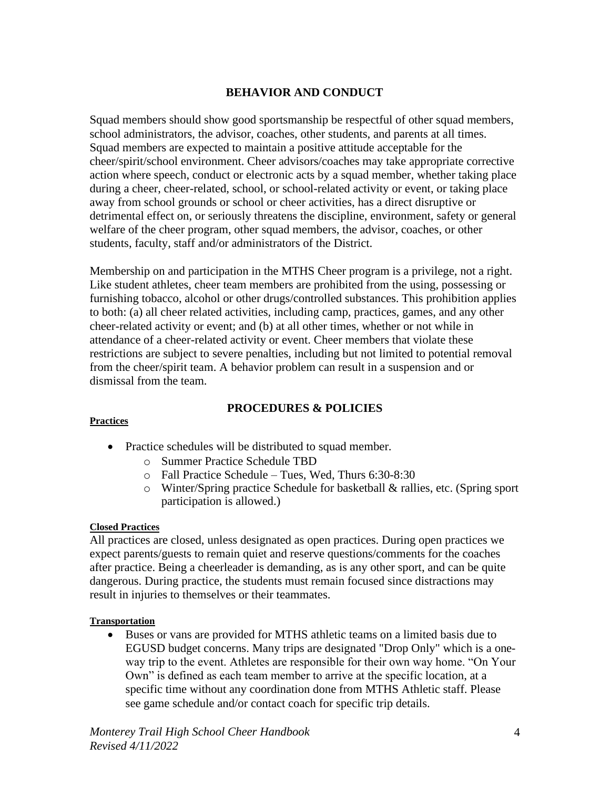# **BEHAVIOR AND CONDUCT**

Squad members should show good sportsmanship be respectful of other squad members, school administrators, the advisor, coaches, other students, and parents at all times. Squad members are expected to maintain a positive attitude acceptable for the cheer/spirit/school environment. Cheer advisors/coaches may take appropriate corrective action where speech, conduct or electronic acts by a squad member, whether taking place during a cheer, cheer-related, school, or school-related activity or event, or taking place away from school grounds or school or cheer activities, has a direct disruptive or detrimental effect on, or seriously threatens the discipline, environment, safety or general welfare of the cheer program, other squad members, the advisor, coaches, or other students, faculty, staff and/or administrators of the District.

Membership on and participation in the MTHS Cheer program is a privilege, not a right. Like student athletes, cheer team members are prohibited from the using, possessing or furnishing tobacco, alcohol or other drugs/controlled substances. This prohibition applies to both: (a) all cheer related activities, including camp, practices, games, and any other cheer-related activity or event; and (b) at all other times, whether or not while in attendance of a cheer-related activity or event. Cheer members that violate these restrictions are subject to severe penalties, including but not limited to potential removal from the cheer/spirit team. A behavior problem can result in a suspension and or dismissal from the team.

# **PROCEDURES & POLICIES**

## **Practices**

- Practice schedules will be distributed to squad member.
	- o Summer Practice Schedule TBD
	- o Fall Practice Schedule Tues, Wed, Thurs 6:30-8:30
	- o Winter/Spring practice Schedule for basketball & rallies, etc. (Spring sport participation is allowed.)

## **Closed Practices**

All practices are closed, unless designated as open practices. During open practices we expect parents/guests to remain quiet and reserve questions/comments for the coaches after practice. Being a cheerleader is demanding, as is any other sport, and can be quite dangerous. During practice, the students must remain focused since distractions may result in injuries to themselves or their teammates.

## **Transportation**

• Buses or vans are provided for MTHS athletic teams on a limited basis due to EGUSD budget concerns. Many trips are designated "Drop Only" which is a oneway trip to the event. Athletes are responsible for their own way home. "On Your Own" is defined as each team member to arrive at the specific location, at a specific time without any coordination done from MTHS Athletic staff. Please see game schedule and/or contact coach for specific trip details.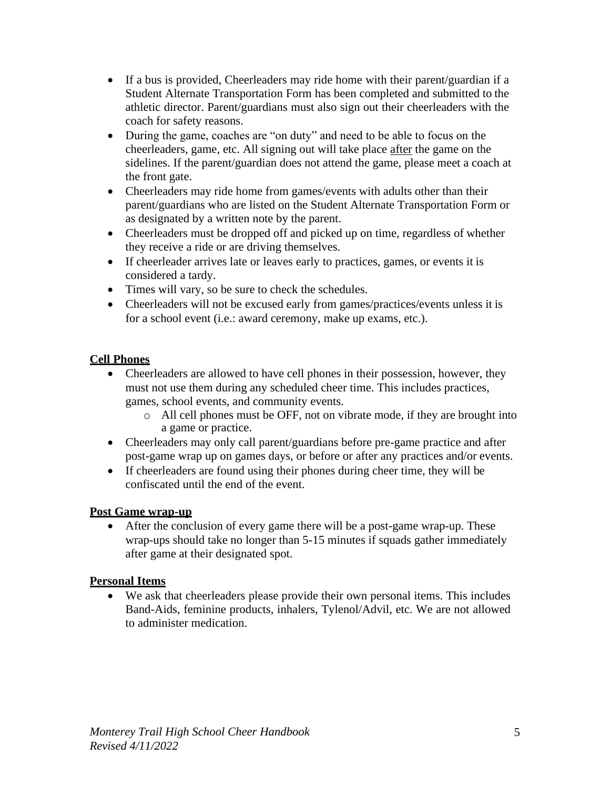- If a bus is provided, Cheerleaders may ride home with their parent/guardian if a Student Alternate Transportation Form has been completed and submitted to the athletic director. Parent/guardians must also sign out their cheerleaders with the coach for safety reasons.
- During the game, coaches are "on duty" and need to be able to focus on the cheerleaders, game, etc. All signing out will take place after the game on the sidelines. If the parent/guardian does not attend the game, please meet a coach at the front gate.
- Cheerleaders may ride home from games/events with adults other than their parent/guardians who are listed on the Student Alternate Transportation Form or as designated by a written note by the parent.
- Cheerleaders must be dropped off and picked up on time, regardless of whether they receive a ride or are driving themselves.
- If cheerleader arrives late or leaves early to practices, games, or events it is considered a tardy.
- Times will vary, so be sure to check the schedules.
- Cheerleaders will not be excused early from games/practices/events unless it is for a school event (i.e.: award ceremony, make up exams, etc.).

# **Cell Phones**

- Cheerleaders are allowed to have cell phones in their possession, however, they must not use them during any scheduled cheer time. This includes practices, games, school events, and community events.
	- o All cell phones must be OFF, not on vibrate mode, if they are brought into a game or practice.
- Cheerleaders may only call parent/guardians before pre-game practice and after post-game wrap up on games days, or before or after any practices and/or events.
- If cheerleaders are found using their phones during cheer time, they will be confiscated until the end of the event.

# **Post Game wrap-up**

• After the conclusion of every game there will be a post-game wrap-up. These wrap-ups should take no longer than 5-15 minutes if squads gather immediately after game at their designated spot.

# **Personal Items**

• We ask that cheerleaders please provide their own personal items. This includes Band-Aids, feminine products, inhalers, Tylenol/Advil, etc. We are not allowed to administer medication.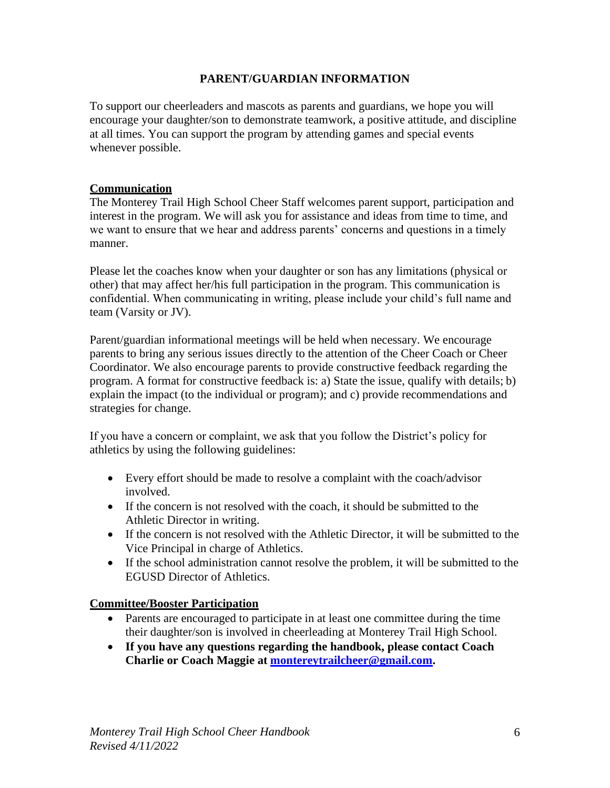# **PARENT/GUARDIAN INFORMATION**

To support our cheerleaders and mascots as parents and guardians, we hope you will encourage your daughter/son to demonstrate teamwork, a positive attitude, and discipline at all times. You can support the program by attending games and special events whenever possible.

# **Communication**

The Monterey Trail High School Cheer Staff welcomes parent support, participation and interest in the program. We will ask you for assistance and ideas from time to time, and we want to ensure that we hear and address parents' concerns and questions in a timely manner.

Please let the coaches know when your daughter or son has any limitations (physical or other) that may affect her/his full participation in the program. This communication is confidential. When communicating in writing, please include your child's full name and team (Varsity or JV).

Parent/guardian informational meetings will be held when necessary. We encourage parents to bring any serious issues directly to the attention of the Cheer Coach or Cheer Coordinator. We also encourage parents to provide constructive feedback regarding the program. A format for constructive feedback is: a) State the issue, qualify with details; b) explain the impact (to the individual or program); and c) provide recommendations and strategies for change.

If you have a concern or complaint, we ask that you follow the District's policy for athletics by using the following guidelines:

- Every effort should be made to resolve a complaint with the coach/advisor involved.
- If the concern is not resolved with the coach, it should be submitted to the Athletic Director in writing.
- If the concern is not resolved with the Athletic Director, it will be submitted to the Vice Principal in charge of Athletics.
- If the school administration cannot resolve the problem, it will be submitted to the EGUSD Director of Athletics.

# **Committee/Booster Participation**

- Parents are encouraged to participate in at least one committee during the time their daughter/son is involved in cheerleading at Monterey Trail High School.
- **If you have any questions regarding the handbook, please contact Coach Charlie or Coach Maggie at [montereytrailcheer@gmail.com.](mailto:montereytrailcheer@gmail.com)**